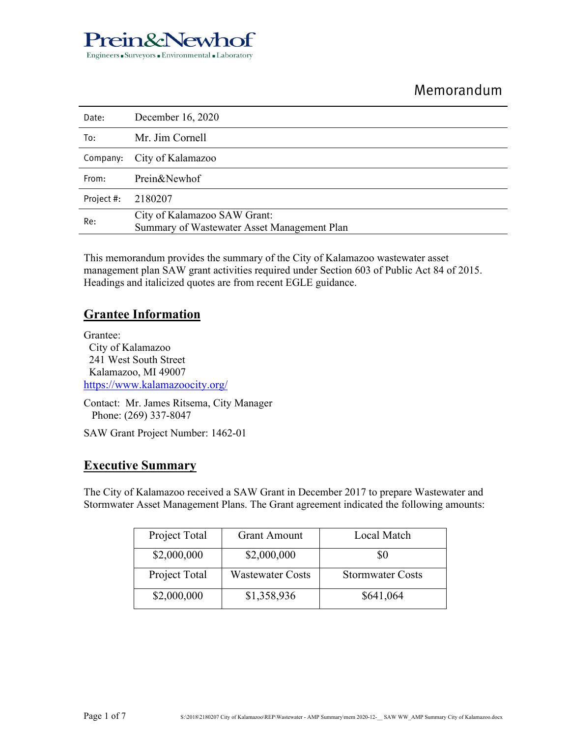## Prein&Newhof Engineers Gurveyors GEnvironmental GEneratory

# Memorandum

| Date:      | December 16, 2020                                                           |
|------------|-----------------------------------------------------------------------------|
| To:        | Mr. Jim Cornell                                                             |
| Company:   | City of Kalamazoo                                                           |
| From:      | Prein&Newhof                                                                |
| Project #: | 2180207                                                                     |
| Re:        | City of Kalamazoo SAW Grant:<br>Summary of Wastewater Asset Management Plan |

This memorandum provides the summary of the City of Kalamazoo wastewater asset management plan SAW grant activities required under Section 603 of Public Act 84 of 2015. Headings and italicized quotes are from recent EGLE guidance.

## **Grantee Information**

Grantee: City of Kalamazoo 241 West South Street Kalamazoo, MI 49007 https://www.kalamazoocity.org/

Contact: Mr. James Ritsema, City Manager Phone: (269) 337-8047

SAW Grant Project Number: 1462-01

### **Executive Summary**

The City of Kalamazoo received a SAW Grant in December 2017 to prepare Wastewater and Stormwater Asset Management Plans. The Grant agreement indicated the following amounts:

| Project Total | <b>Grant Amount</b>     | Local Match             |
|---------------|-------------------------|-------------------------|
| \$2,000,000   | \$2,000,000             | 80                      |
| Project Total | <b>Wastewater Costs</b> | <b>Stormwater Costs</b> |
| \$2,000,000   | \$1,358,936             | \$641,064               |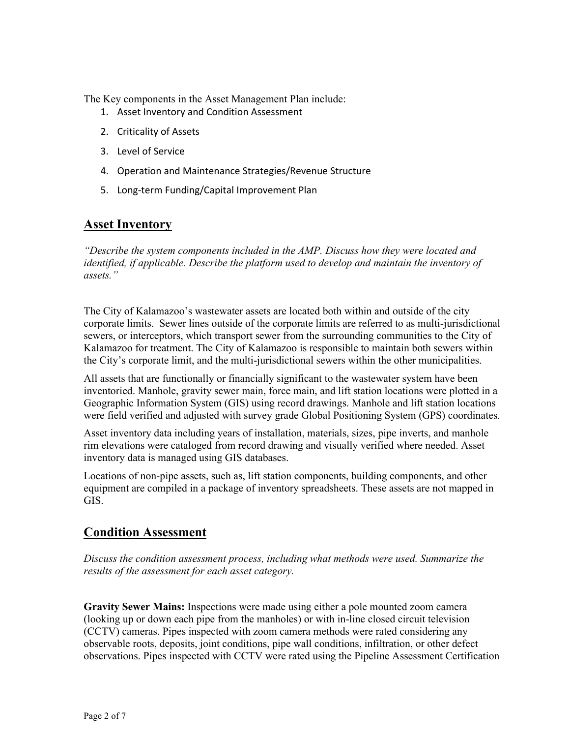The Key components in the Asset Management Plan include:

- 1. Asset Inventory and Condition Assessment
- 2. Criticality of Assets
- 3. Level of Service
- 4. Operation and Maintenance Strategies/Revenue Structure
- 5. Long-term Funding/Capital Improvement Plan

### **Asset Inventory**

*"Describe the system components included in the AMP. Discuss how they were located and identified, if applicable. Describe the platform used to develop and maintain the inventory of assets."* 

The City of Kalamazoo's wastewater assets are located both within and outside of the city corporate limits. Sewer lines outside of the corporate limits are referred to as multi-jurisdictional sewers, or interceptors, which transport sewer from the surrounding communities to the City of Kalamazoo for treatment. The City of Kalamazoo is responsible to maintain both sewers within the City's corporate limit, and the multi-jurisdictional sewers within the other municipalities.

All assets that are functionally or financially significant to the wastewater system have been inventoried. Manhole, gravity sewer main, force main, and lift station locations were plotted in a Geographic Information System (GIS) using record drawings. Manhole and lift station locations were field verified and adjusted with survey grade Global Positioning System (GPS) coordinates.

Asset inventory data including years of installation, materials, sizes, pipe inverts, and manhole rim elevations were cataloged from record drawing and visually verified where needed. Asset inventory data is managed using GIS databases.

Locations of non-pipe assets, such as, lift station components, building components, and other equipment are compiled in a package of inventory spreadsheets. These assets are not mapped in GIS.

### **Condition Assessment**

*Discuss the condition assessment process, including what methods were used. Summarize the results of the assessment for each asset category.* 

**Gravity Sewer Mains:** Inspections were made using either a pole mounted zoom camera (looking up or down each pipe from the manholes) or with in-line closed circuit television (CCTV) cameras. Pipes inspected with zoom camera methods were rated considering any observable roots, deposits, joint conditions, pipe wall conditions, infiltration, or other defect observations. Pipes inspected with CCTV were rated using the Pipeline Assessment Certification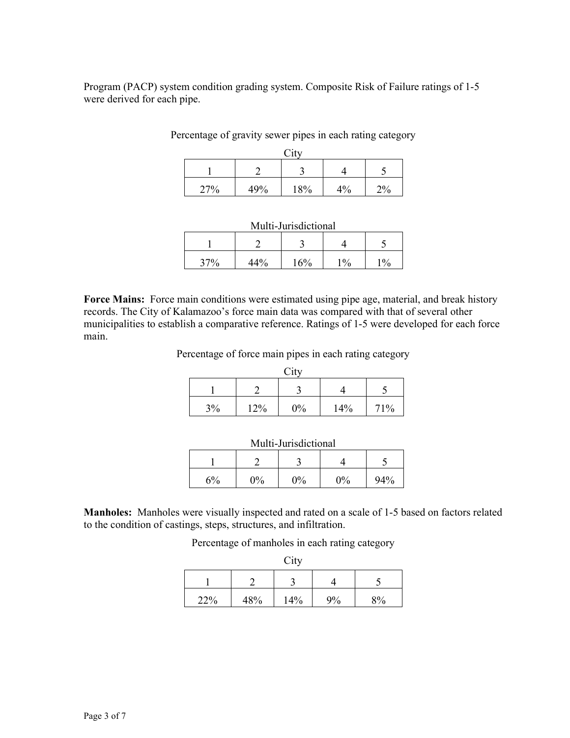Program (PACP) system condition grading system. Composite Risk of Failure ratings of 1-5 were derived for each pipe.

#### Percentage of gravity sewer pipes in each rating category

| $\mathrm{City}$ |     |     |    |      |  |  |
|-----------------|-----|-----|----|------|--|--|
|                 |     |     |    |      |  |  |
| 27%             | 49% | 18% | 4% | 20/2 |  |  |

| Multi-Jurisdictional |       |     |      |                 |  |  |
|----------------------|-------|-----|------|-----------------|--|--|
|                      |       |     |      |                 |  |  |
| 37%                  | 440/. | 16% | 10/2 | 10 <sub>0</sub> |  |  |

**Force Mains:** Force main conditions were estimated using pipe age, material, and break history records. The City of Kalamazoo's force main data was compared with that of several other municipalities to establish a comparative reference. Ratings of 1-5 were developed for each force main.

Percentage of force main pipes in each rating category

| City |     |       |     |     |  |  |
|------|-----|-------|-----|-----|--|--|
|      |     |       |     |     |  |  |
| 3%   | 12% | $0\%$ | 14% | 71% |  |  |

| Multi-Jurisdictional |                |    |       |     |  |  |
|----------------------|----------------|----|-------|-----|--|--|
|                      |                |    |       |     |  |  |
| ና%                   | $\frac{10}{6}$ | በ% | $0\%$ | 94% |  |  |

**Manholes:** Manholes were visually inspected and rated on a scale of 1-5 based on factors related to the condition of castings, steps, structures, and infiltration.

Percentage of manholes in each rating category

|     |     | City |    |    |
|-----|-----|------|----|----|
|     |     |      |    |    |
| 22% | 48% | 14%  | 9% | 8% |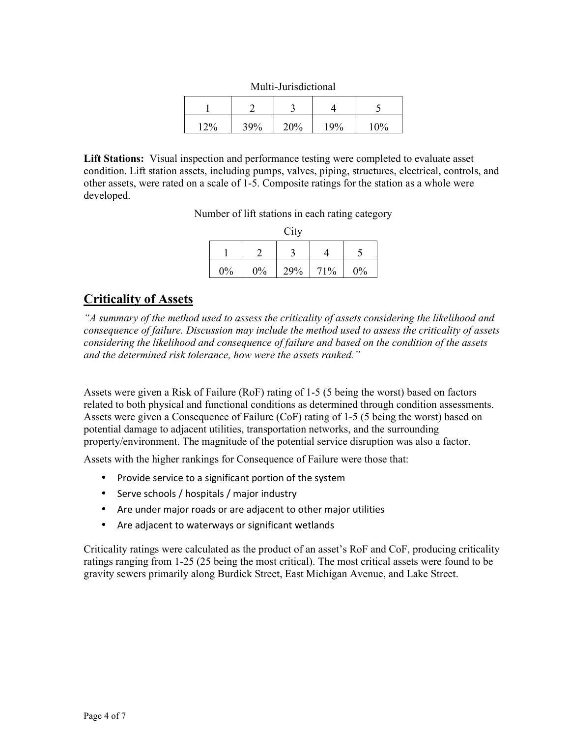| www.communication |     |     |     |     |  |  |
|-------------------|-----|-----|-----|-----|--|--|
|                   |     |     |     |     |  |  |
| 20/               | 39% | 20% | 19% | 10% |  |  |

Multi-Jurisdictional

**Lift Stations:** Visual inspection and performance testing were completed to evaluate asset condition. Lift station assets, including pumps, valves, piping, structures, electrical, controls, and other assets, were rated on a scale of 1-5. Composite ratings for the station as a whole were developed.

Number of lift stations in each rating category

|    |    | City |     |    |
|----|----|------|-----|----|
|    |    |      |     |    |
| 0% | 0% | 29%  | 71% | 0% |

## **Criticality of Assets**

*"A summary of the method used to assess the criticality of assets considering the likelihood and consequence of failure. Discussion may include the method used to assess the criticality of assets considering the likelihood and consequence of failure and based on the condition of the assets and the determined risk tolerance, how were the assets ranked."* 

Assets were given a Risk of Failure (RoF) rating of 1-5 (5 being the worst) based on factors related to both physical and functional conditions as determined through condition assessments. Assets were given a Consequence of Failure (CoF) rating of 1-5 (5 being the worst) based on potential damage to adjacent utilities, transportation networks, and the surrounding property/environment. The magnitude of the potential service disruption was also a factor.

Assets with the higher rankings for Consequence of Failure were those that:

- Provide service to a significant portion of the system
- Serve schools / hospitals / major industry
- Are under major roads or are adjacent to other major utilities
- Are adjacent to waterways or significant wetlands

Criticality ratings were calculated as the product of an asset's RoF and CoF, producing criticality ratings ranging from 1-25 (25 being the most critical). The most critical assets were found to be gravity sewers primarily along Burdick Street, East Michigan Avenue, and Lake Street.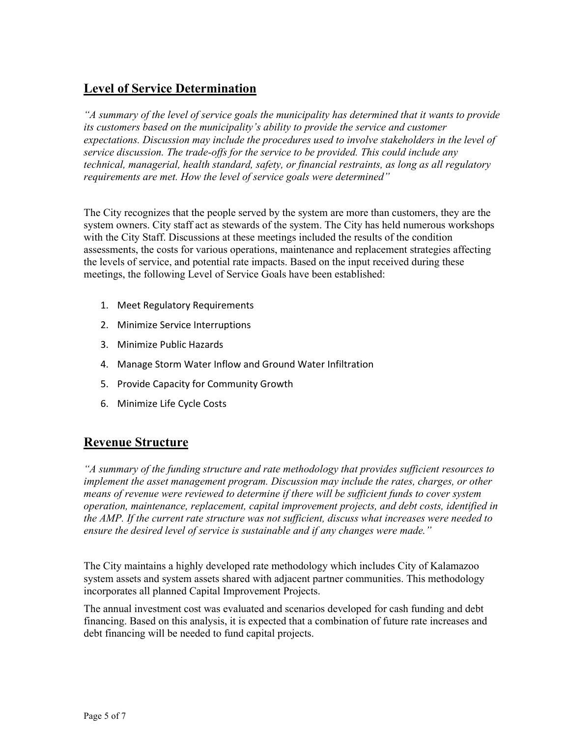# **Level of Service Determination**

*"A summary of the level of service goals the municipality has determined that it wants to provide its customers based on the municipality's ability to provide the service and customer expectations. Discussion may include the procedures used to involve stakeholders in the level of service discussion. The trade-offs for the service to be provided. This could include any technical, managerial, health standard, safety, or financial restraints, as long as all regulatory requirements are met. How the level of service goals were determined"* 

The City recognizes that the people served by the system are more than customers, they are the system owners. City staff act as stewards of the system. The City has held numerous workshops with the City Staff. Discussions at these meetings included the results of the condition assessments, the costs for various operations, maintenance and replacement strategies affecting the levels of service, and potential rate impacts. Based on the input received during these meetings, the following Level of Service Goals have been established:

- 1. Meet Regulatory Requirements
- 2. Minimize Service Interruptions
- 3. Minimize Public Hazards
- 4. Manage Storm Water Inflow and Ground Water Infiltration
- 5. Provide Capacity for Community Growth
- 6. Minimize Life Cycle Costs

## **Revenue Structure**

*"A summary of the funding structure and rate methodology that provides sufficient resources to implement the asset management program. Discussion may include the rates, charges, or other means of revenue were reviewed to determine if there will be sufficient funds to cover system operation, maintenance, replacement, capital improvement projects, and debt costs, identified in the AMP. If the current rate structure was not sufficient, discuss what increases were needed to ensure the desired level of service is sustainable and if any changes were made."* 

The City maintains a highly developed rate methodology which includes City of Kalamazoo system assets and system assets shared with adjacent partner communities. This methodology incorporates all planned Capital Improvement Projects.

The annual investment cost was evaluated and scenarios developed for cash funding and debt financing. Based on this analysis, it is expected that a combination of future rate increases and debt financing will be needed to fund capital projects.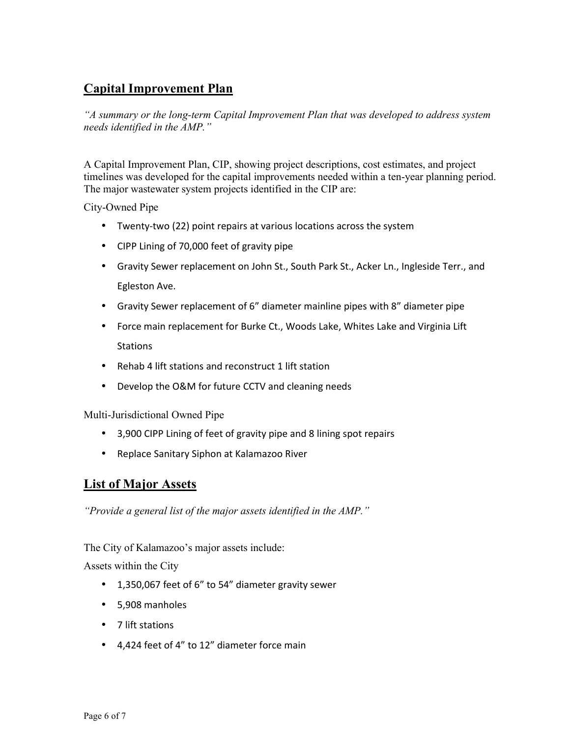# **Capital Improvement Plan**

*"A summary or the long-term Capital Improvement Plan that was developed to address system needs identified in the AMP."* 

A Capital Improvement Plan, CIP, showing project descriptions, cost estimates, and project timelines was developed for the capital improvements needed within a ten-year planning period. The major wastewater system projects identified in the CIP are:

City-Owned Pipe

- Twenty-two (22) point repairs at various locations across the system
- CIPP Lining of 70,000 feet of gravity pipe
- Gravity Sewer replacement on John St., South Park St., Acker Ln., Ingleside Terr., and Egleston Ave.
- Gravity Sewer replacement of 6" diameter mainline pipes with 8" diameter pipe
- Force main replacement for Burke Ct., Woods Lake, Whites Lake and Virginia Lift **Stations**
- Rehab 4 lift stations and reconstruct 1 lift station
- Develop the O&M for future CCTV and cleaning needs

Multi-Jurisdictional Owned Pipe

- 3,900 CIPP Lining of feet of gravity pipe and 8 lining spot repairs
- Replace Sanitary Siphon at Kalamazoo River

### **List of Major Assets**

*"Provide a general list of the major assets identified in the AMP."* 

The City of Kalamazoo's major assets include:

Assets within the City

- 1,350,067 feet of 6" to 54" diameter gravity sewer
- 5,908 manholes
- 7 lift stations
- 4,424 feet of 4" to 12" diameter force main